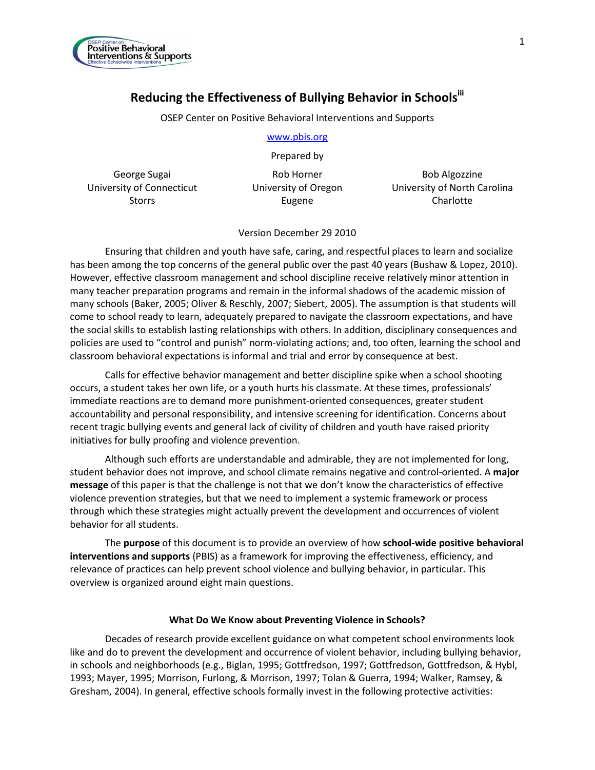

# **Reducing the Effectiveness of Bullying Behavior in Schoolsiii**

OSEP Center on Positive Behavioral Interventions and Supports

#### [www.pbis.org](http://www.pbis.org/)

Prepared by

George Sugai University of Connecticut **Storrs** 

Rob Horner University of Oregon Eugene

Bob Algozzine University of North Carolina Charlotte

## Version December 29 2010

Ensuring that children and youth have safe, caring, and respectful places to learn and socialize has been among the top concerns of the general public over the past 40 years (Bushaw & Lopez, 2010). However, effective classroom management and school discipline receive relatively minor attention in many teacher preparation programs and remain in the informal shadows of the academic mission of many schools (Baker, 2005; Oliver & Reschly, 2007; Siebert, 2005). The assumption is that students will come to school ready to learn, adequately prepared to navigate the classroom expectations, and have the social skills to establish lasting relationships with others. In addition, disciplinary consequences and policies are used to "control and punish" norm-violating actions; and, too often, learning the school and classroom behavioral expectations is informal and trial and error by consequence at best.

Calls for effective behavior management and better discipline spike when a school shooting occurs, a student takes her own life, or a youth hurts his classmate. At these times, professionals' immediate reactions are to demand more punishment-oriented consequences, greater student accountability and personal responsibility, and intensive screening for identification. Concerns about recent tragic bullying events and general lack of civility of children and youth have raised priority initiatives for bully proofing and violence prevention.

Although such efforts are understandable and admirable, they are not implemented for long, student behavior does not improve, and school climate remains negative and control-oriented. A **major message** of this paper is that the challenge is not that we don't know the characteristics of effective violence prevention strategies, but that we need to implement a systemic framework or process through which these strategies might actually prevent the development and occurrences of violent behavior for all students.

The **purpose** of this document is to provide an overview of how **school-wide positive behavioral interventions and supports** (PBIS) as a framework for improving the effectiveness, efficiency, and relevance of practices can help prevent school violence and bullying behavior, in particular. This overview is organized around eight main questions.

## **What Do We Know about Preventing Violence in Schools?**

Decades of research provide excellent guidance on what competent school environments look like and do to prevent the development and occurrence of violent behavior, including bullying behavior, in schools and neighborhoods (e.g., Biglan, 1995; Gottfredson, 1997; Gottfredson, Gottfredson, & Hybl, 1993; Mayer, 1995; Morrison, Furlong, & Morrison, 1997; Tolan & Guerra, 1994; Walker, Ramsey, & Gresham, 2004). In general, effective schools formally invest in the following protective activities: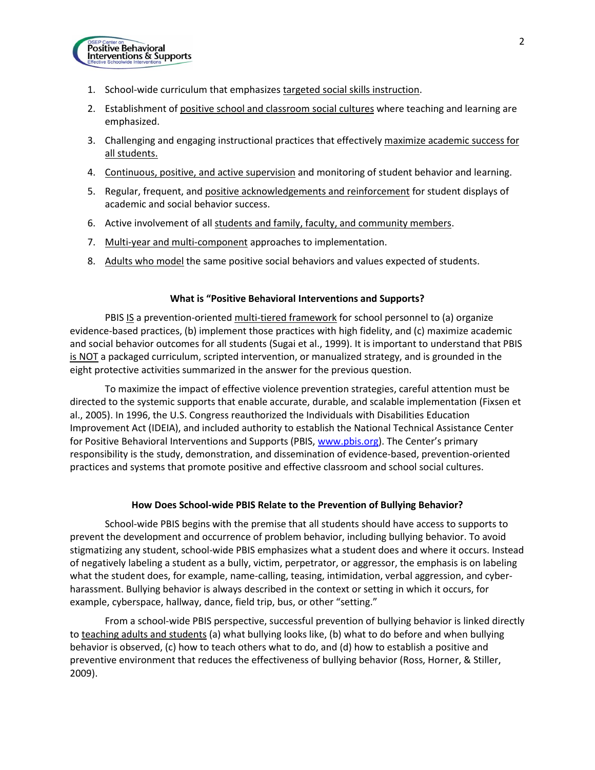

OSEP Center on<br>Positive Behavioral<br>Interventions & Supports

- 2. Establishment of positive school and classroom social cultures where teaching and learning are emphasized.
- 3. Challenging and engaging instructional practices that effectively maximize academic success for all students.
- 4. Continuous, positive, and active supervision and monitoring of student behavior and learning.
- 5. Regular, frequent, and positive acknowledgements and reinforcement for student displays of academic and social behavior success.
- 6. Active involvement of all students and family, faculty, and community members.
- 7. Multi-year and multi-component approaches to implementation.
- 8. Adults who model the same positive social behaviors and values expected of students.

## **What is "Positive Behavioral Interventions and Supports?**

PBIS IS a prevention-oriented multi-tiered framework for school personnel to (a) organize evidence-based practices, (b) implement those practices with high fidelity, and (c) maximize academic and social behavior outcomes for all students (Sugai et al., 1999). It is important to understand that PBIS is NOT a packaged curriculum, scripted intervention, or manualized strategy, and is grounded in the eight protective activities summarized in the answer for the previous question.

To maximize the impact of effective violence prevention strategies, careful attention must be directed to the systemic supports that enable accurate, durable, and scalable implementation (Fixsen et al., 2005). In 1996, the U.S. Congress reauthorized the Individuals with Disabilities Education Improvement Act (IDEIA), and included authority to establish the National Technical Assistance Center for Positive Behavioral Interventions and Supports (PBIS, [www.pbis.org\)](http://www.pbis.org/). The Center's primary responsibility is the study, demonstration, and dissemination of evidence-based, prevention-oriented practices and systems that promote positive and effective classroom and school social cultures.

## **How Does School-wide PBIS Relate to the Prevention of Bullying Behavior?**

School-wide PBIS begins with the premise that all students should have access to supports to prevent the development and occurrence of problem behavior, including bullying behavior. To avoid stigmatizing any student, school-wide PBIS emphasizes what a student does and where it occurs. Instead of negatively labeling a student as a bully, victim, perpetrator, or aggressor, the emphasis is on labeling what the student does, for example, name-calling, teasing, intimidation, verbal aggression, and cyberharassment. Bullying behavior is always described in the context or setting in which it occurs, for example, cyberspace, hallway, dance, field trip, bus, or other "setting."

From a school-wide PBIS perspective, successful prevention of bullying behavior is linked directly to teaching adults and students (a) what bullying looks like, (b) what to do before and when bullying behavior is observed, (c) how to teach others what to do, and (d) how to establish a positive and preventive environment that reduces the effectiveness of bullying behavior (Ross, Horner, & Stiller, 2009).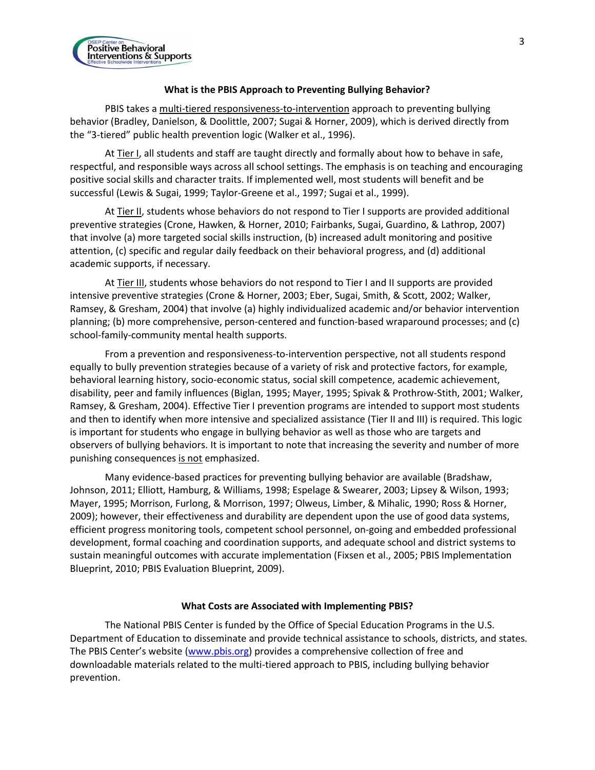

## **What is the PBIS Approach to Preventing Bullying Behavior?**

PBIS takes a multi-tiered responsiveness-to-intervention approach to preventing bullying behavior (Bradley, Danielson, & Doolittle, 2007; Sugai & Horner, 2009), which is derived directly from the "3-tiered" public health prevention logic (Walker et al., 1996).

At Tier I, all students and staff are taught directly and formally about how to behave in safe, respectful, and responsible ways across all school settings. The emphasis is on teaching and encouraging positive social skills and character traits. If implemented well, most students will benefit and be successful (Lewis & Sugai, 1999; Taylor-Greene et al., 1997; Sugai et al., 1999).

At Tier II, students whose behaviors do not respond to Tier I supports are provided additional preventive strategies (Crone, Hawken, & Horner, 2010; Fairbanks, Sugai, Guardino, & Lathrop, 2007) that involve (a) more targeted social skills instruction, (b) increased adult monitoring and positive attention, (c) specific and regular daily feedback on their behavioral progress, and (d) additional academic supports, if necessary.

At Tier III, students whose behaviors do not respond to Tier I and II supports are provided intensive preventive strategies (Crone & Horner, 2003; Eber, Sugai, Smith, & Scott, 2002; Walker, Ramsey, & Gresham, 2004) that involve (a) highly individualized academic and/or behavior intervention planning; (b) more comprehensive, person-centered and function-based wraparound processes; and (c) school-family-community mental health supports.

From a prevention and responsiveness-to-intervention perspective, not all students respond equally to bully prevention strategies because of a variety of risk and protective factors, for example, behavioral learning history, socio-economic status, social skill competence, academic achievement, disability, peer and family influences (Biglan, 1995; Mayer, 1995; Spivak & Prothrow-Stith, 2001; Walker, Ramsey, & Gresham, 2004). Effective Tier I prevention programs are intended to support most students and then to identify when more intensive and specialized assistance (Tier II and III) is required. This logic is important for students who engage in bullying behavior as well as those who are targets and observers of bullying behaviors. It is important to note that increasing the severity and number of more punishing consequences is not emphasized.

Many evidence-based practices for preventing bullying behavior are available (Bradshaw, Johnson, 2011; Elliott, Hamburg, & Williams, 1998; Espelage & Swearer, 2003; Lipsey & Wilson, 1993; Mayer, 1995; Morrison, Furlong, & Morrison, 1997; Olweus, Limber, & Mihalic, 1990; Ross & Horner, 2009); however, their effectiveness and durability are dependent upon the use of good data systems, efficient progress monitoring tools, competent school personnel, on-going and embedded professional development, formal coaching and coordination supports, and adequate school and district systems to sustain meaningful outcomes with accurate implementation (Fixsen et al., 2005; PBIS Implementation Blueprint, 2010; PBIS Evaluation Blueprint, 2009).

## **What Costs are Associated with Implementing PBIS?**

The National PBIS Center is funded by the Office of Special Education Programs in the U.S. Department of Education to disseminate and provide technical assistance to schools, districts, and states. The PBIS Center's website ([www.pbis.org\)](http://www.pbis.org/) provides a comprehensive collection of free and downloadable materials related to the multi-tiered approach to PBIS, including bullying behavior prevention.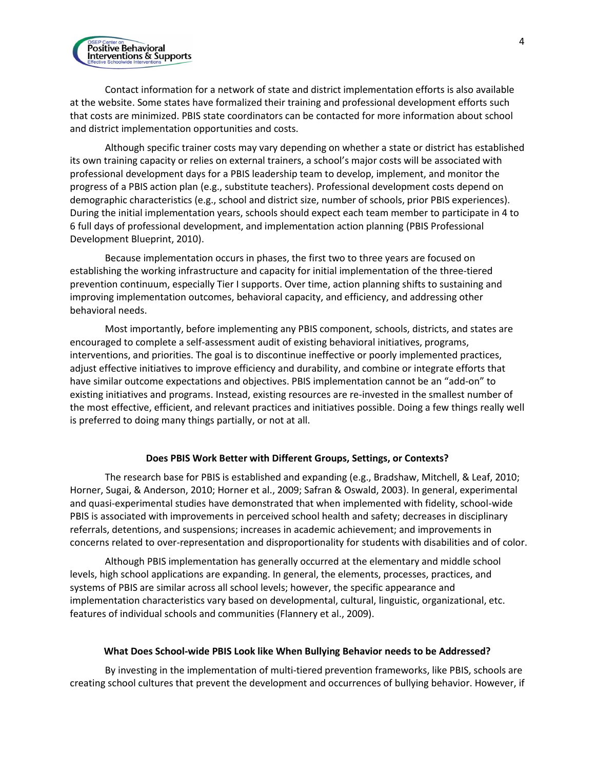

Contact information for a network of state and district implementation efforts is also available at the website. Some states have formalized their training and professional development efforts such that costs are minimized. PBIS state coordinators can be contacted for more information about school and district implementation opportunities and costs.

Although specific trainer costs may vary depending on whether a state or district has established its own training capacity or relies on external trainers, a school's major costs will be associated with professional development days for a PBIS leadership team to develop, implement, and monitor the progress of a PBIS action plan (e.g., substitute teachers). Professional development costs depend on demographic characteristics (e.g., school and district size, number of schools, prior PBIS experiences). During the initial implementation years, schools should expect each team member to participate in 4 to 6 full days of professional development, and implementation action planning (PBIS Professional Development Blueprint, 2010).

Because implementation occurs in phases, the first two to three years are focused on establishing the working infrastructure and capacity for initial implementation of the three-tiered prevention continuum, especially Tier I supports. Over time, action planning shifts to sustaining and improving implementation outcomes, behavioral capacity, and efficiency, and addressing other behavioral needs.

Most importantly, before implementing any PBIS component, schools, districts, and states are encouraged to complete a self-assessment audit of existing behavioral initiatives, programs, interventions, and priorities. The goal is to discontinue ineffective or poorly implemented practices, adjust effective initiatives to improve efficiency and durability, and combine or integrate efforts that have similar outcome expectations and objectives. PBIS implementation cannot be an "add-on" to existing initiatives and programs. Instead, existing resources are re-invested in the smallest number of the most effective, efficient, and relevant practices and initiatives possible. Doing a few things really well is preferred to doing many things partially, or not at all.

## **Does PBIS Work Better with Different Groups, Settings, or Contexts?**

The research base for PBIS is established and expanding (e.g., Bradshaw, Mitchell, & Leaf, 2010; Horner, Sugai, & Anderson, 2010; Horner et al., 2009; Safran & Oswald, 2003). In general, experimental and quasi-experimental studies have demonstrated that when implemented with fidelity, school-wide PBIS is associated with improvements in perceived school health and safety; decreases in disciplinary referrals, detentions, and suspensions; increases in academic achievement; and improvements in concerns related to over-representation and disproportionality for students with disabilities and of color.

Although PBIS implementation has generally occurred at the elementary and middle school levels, high school applications are expanding. In general, the elements, processes, practices, and systems of PBIS are similar across all school levels; however, the specific appearance and implementation characteristics vary based on developmental, cultural, linguistic, organizational, etc. features of individual schools and communities (Flannery et al., 2009).

## **What Does School-wide PBIS Look like When Bullying Behavior needs to be Addressed?**

By investing in the implementation of multi-tiered prevention frameworks, like PBIS, schools are creating school cultures that prevent the development and occurrences of bullying behavior. However, if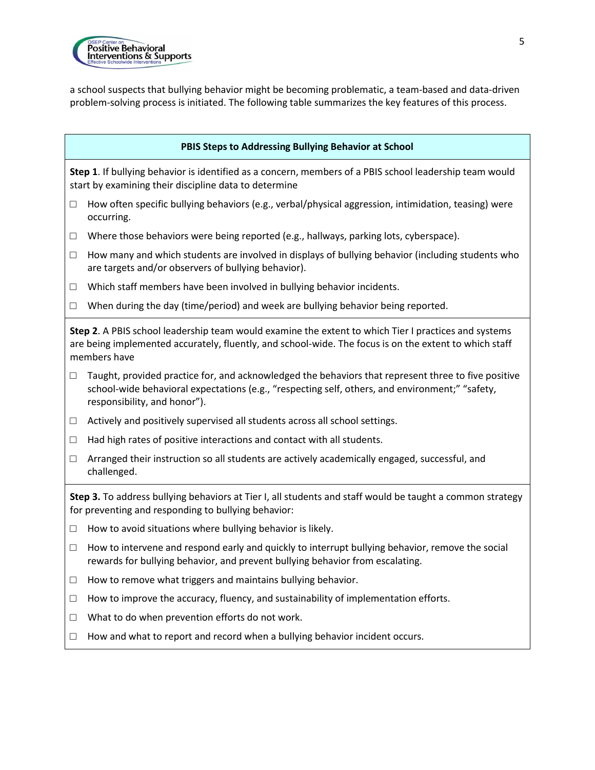

a school suspects that bullying behavior might be becoming problematic, a team-based and data-driven problem-solving process is initiated. The following table summarizes the key features of this process.

## **PBIS Steps to Addressing Bullying Behavior at School**

**Step 1**. If bullying behavior is identified as a concern, members of a PBIS school leadership team would start by examining their discipline data to determine

- $\Box$  How often specific bullying behaviors (e.g., verbal/physical aggression, intimidation, teasing) were occurring.
- $\Box$  Where those behaviors were being reported (e.g., hallways, parking lots, cyberspace).
- $\Box$  How many and which students are involved in displays of bullying behavior (including students who are targets and/or observers of bullying behavior).
- $\Box$  Which staff members have been involved in bullying behavior incidents.
- $\Box$  When during the day (time/period) and week are bullying behavior being reported.

**Step 2**. A PBIS school leadership team would examine the extent to which Tier I practices and systems are being implemented accurately, fluently, and school-wide. The focus is on the extent to which staff members have

- $\Box$  Taught, provided practice for, and acknowledged the behaviors that represent three to five positive school-wide behavioral expectations (e.g., "respecting self, others, and environment;" "safety, responsibility, and honor").
- $\Box$  Actively and positively supervised all students across all school settings.
- $\Box$  Had high rates of positive interactions and contact with all students.
- $\Box$  Arranged their instruction so all students are actively academically engaged, successful, and challenged.

**Step 3.** To address bullying behaviors at Tier I, all students and staff would be taught a common strategy for preventing and responding to bullying behavior:

- $\Box$  How to avoid situations where bullying behavior is likely.
- $\Box$  How to intervene and respond early and quickly to interrupt bullying behavior, remove the social rewards for bullying behavior, and prevent bullying behavior from escalating.
- $\Box$  How to remove what triggers and maintains bullying behavior.
- $\Box$  How to improve the accuracy, fluency, and sustainability of implementation efforts.
- $\Box$  What to do when prevention efforts do not work.
- $\Box$  How and what to report and record when a bullying behavior incident occurs.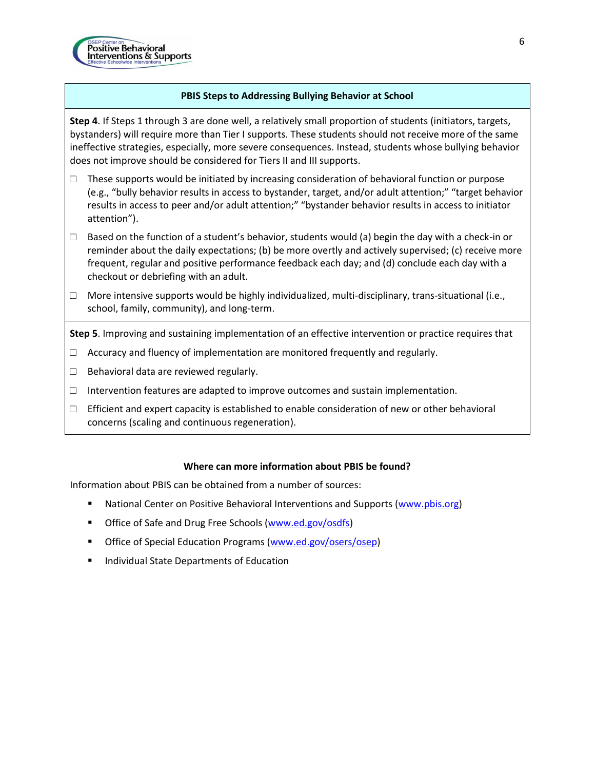

# **PBIS Steps to Addressing Bullying Behavior at School**

**Step 4**. If Steps 1 through 3 are done well, a relatively small proportion of students (initiators, targets, bystanders) will require more than Tier I supports. These students should not receive more of the same ineffective strategies, especially, more severe consequences. Instead, students whose bullying behavior does not improve should be considered for Tiers II and III supports.

- $\square$  These supports would be initiated by increasing consideration of behavioral function or purpose (e.g., "bully behavior results in access to bystander, target, and/or adult attention;" "target behavior results in access to peer and/or adult attention;" "bystander behavior results in access to initiator attention").
- $\Box$  Based on the function of a student's behavior, students would (a) begin the day with a check-in or reminder about the daily expectations; (b) be more overtly and actively supervised; (c) receive more frequent, regular and positive performance feedback each day; and (d) conclude each day with a checkout or debriefing with an adult.
- $\Box$  More intensive supports would be highly individualized, multi-disciplinary, trans-situational (i.e., school, family, community), and long-term.

**Step 5**. Improving and sustaining implementation of an effective intervention or practice requires that

- $\Box$  Accuracy and fluency of implementation are monitored frequently and regularly.
- $\Box$  Behavioral data are reviewed regularly.
- $\Box$  Intervention features are adapted to improve outcomes and sustain implementation.
- $\square$  Efficient and expert capacity is established to enable consideration of new or other behavioral concerns (scaling and continuous regeneration).

## **Where can more information about PBIS be found?**

Information about PBIS can be obtained from a number of sources:

- National Center on Positive Behavioral Interventions and Supports [\(www.pbis.org\)](http://www.pbis.org/)
- Office of Safe and Drug Free Schools [\(www.ed.gov/osdfs\)](http://www.ed.gov/osdfs)
- **The Office of Special Education Programs [\(www.ed.gov/osers/osep\)](http://www.ed.gov/osers/osep)**
- **Individual State Departments of Education**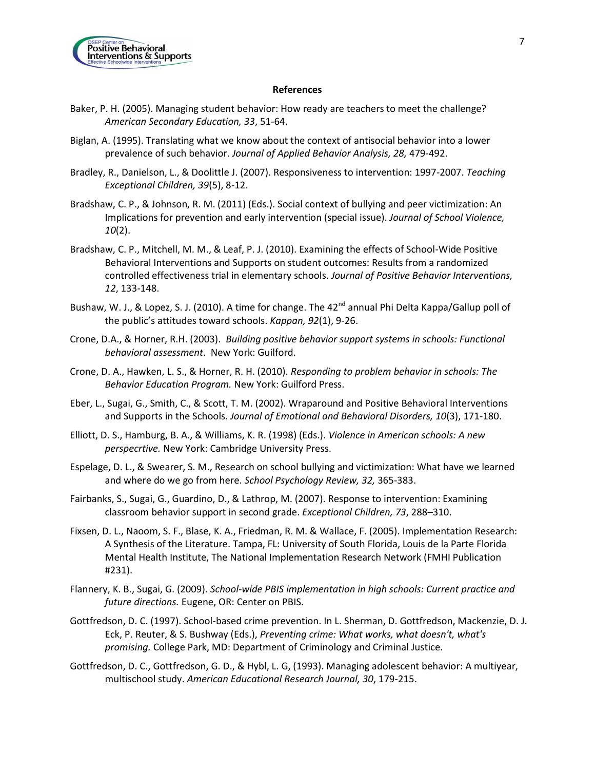

#### **References**

- Baker, P. H. (2005). Managing student behavior: How ready are teachers to meet the challenge? *American Secondary Education, 33*, 51-64.
- Biglan, A. (1995). Translating what we know about the context of antisocial behavior into a lower prevalence of such behavior. *Journal of Applied Behavior Analysis, 28,* 479-492.
- Bradley, R., Danielson, L., & Doolittle J. (2007). Responsiveness to intervention: 1997-2007. *Teaching Exceptional Children, 39*(5), 8-12.
- Bradshaw, C. P., & Johnson, R. M. (2011) (Eds.). Social context of bullying and peer victimization: An Implications for prevention and early intervention (special issue). *Journal of School Violence, 10*(2).
- Bradshaw, C. P., Mitchell, M. M., & Leaf, P. J. (2010). Examining the effects of School-Wide Positive Behavioral Interventions and Supports on student outcomes: Results from a randomized controlled effectiveness trial in elementary schools. *Journal of Positive Behavior Interventions, 12*, 133-148.
- Bushaw, W. J., & Lopez, S. J. (2010). A time for change. The 42<sup>nd</sup> annual Phi Delta Kappa/Gallup poll of the public's attitudes toward schools. *Kappan, 92*(1), 9-26.
- Crone, D.A., & Horner, R.H. (2003). *Building positive behavior support systems in schools: Functional behavioral assessment*. New York: Guilford.
- Crone, D. A., Hawken, L. S., & Horner, R. H. (2010). *Responding to problem behavior in schools: The Behavior Education Program.* New York: Guilford Press.
- Eber, L., Sugai, G., Smith, C., & Scott, T. M. (2002). Wraparound and Positive Behavioral Interventions and Supports in the Schools. *Journal of Emotional and Behavioral Disorders, 10*(3), 171-180.
- Elliott, D. S., Hamburg, B. A., & Williams, K. R. (1998) (Eds.). *Violence in American schools: A new perspecrtive.* New York: Cambridge University Press.
- Espelage, D. L., & Swearer, S. M., Research on school bullying and victimization: What have we learned and where do we go from here. *School Psychology Review, 32,* 365-383.
- Fairbanks, S., Sugai, G., Guardino, D., & Lathrop, M. (2007). Response to intervention: Examining classroom behavior support in second grade. *Exceptional Children, 73*, 288–310.
- Fixsen, D. L., Naoom, S. F., Blase, K. A., Friedman, R. M. & Wallace, F. (2005). Implementation Research: A Synthesis of the Literature. Tampa, FL: University of South Florida, Louis de la Parte Florida Mental Health Institute, The National Implementation Research Network (FMHI Publication #231).
- Flannery, K. B., Sugai, G. (2009). *School-wide PBIS implementation in high schools: Current practice and future directions.* Eugene, OR: Center on PBIS.
- Gottfredson, D. C. (1997). School-based crime prevention. In L. Sherman, D. Gottfredson, Mackenzie, D. J. Eck, P. Reuter, & S. Bushway (Eds.), *Preventing crime: What works, what doesn't, what's promising.* College Park, MD: Department of Criminology and Criminal Justice.
- Gottfredson, D. C., Gottfredson, G. D., & Hybl, L. G, (1993). Managing adolescent behavior: A multiyear, multischool study. *American Educational Research Journal, 30*, 179-215.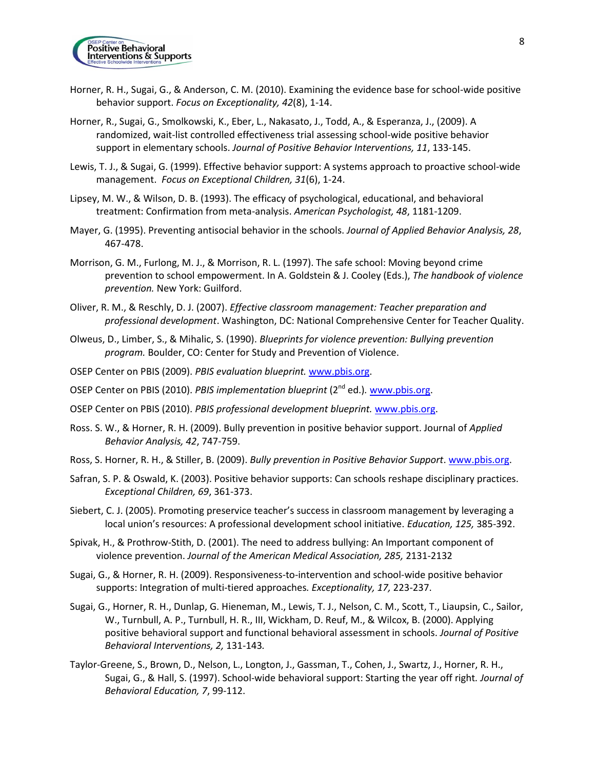

- Horner, R. H., Sugai, G., & Anderson, C. M. (2010). Examining the evidence base for school-wide positive behavior support. *Focus on Exceptionality, 42*(8), 1-14.
- Horner, R., Sugai, G., Smolkowski, K., Eber, L., Nakasato, J., Todd, A., & Esperanza, J., (2009). A randomized, wait-list controlled effectiveness trial assessing school-wide positive behavior support in elementary schools. *Journal of Positive Behavior Interventions, 11*, 133-145.
- Lewis, T. J., & Sugai, G. (1999). Effective behavior support: A systems approach to proactive school-wide management. *Focus on Exceptional Children, 31*(6), 1-24.
- Lipsey, M. W., & Wilson, D. B. (1993). The efficacy of psychological, educational, and behavioral treatment: Confirmation from meta-analysis. *American Psychologist, 48*, 1181-1209.
- Mayer, G. (1995). Preventing antisocial behavior in the schools. *Journal of Applied Behavior Analysis, 28*, 467-478.
- Morrison, G. M., Furlong, M. J., & Morrison, R. L. (1997). The safe school: Moving beyond crime prevention to school empowerment. In A. Goldstein & J. Cooley (Eds.), *The handbook of violence prevention.* New York: Guilford.
- Oliver, R. M., & Reschly, D. J. (2007). *Effective classroom management: Teacher preparation and professional development*. Washington, DC: National Comprehensive Center for Teacher Quality.
- Olweus, D., Limber, S., & Mihalic, S. (1990). *Blueprints for violence prevention: Bullying prevention program.* Boulder, CO: Center for Study and Prevention of Violence.
- OSEP Center on PBIS (2009). *PBIS evaluation blueprint.* [www.pbis.org.](http://www.pbis.org/)
- OSEP Center on PBIS (2010). *PBIS implementation blueprint* (2nd ed.)*.* [www.pbis.org.](http://www.pbis.org/)
- OSEP Center on PBIS (2010). *PBIS professional development blueprint.* [www.pbis.org.](http://www.pbis.org/)
- Ross. S. W., & Horner, R. H. (2009). Bully prevention in positive behavior support. Journal of *Applied Behavior Analysis, 42*, 747-759.
- Ross, S. Horner, R. H., & Stiller, B. (2009). *Bully prevention in Positive Behavior Support*[. www.pbis.org.](http://www.pbis.org/)
- Safran, S. P. & Oswald, K. (2003). Positive behavior supports: Can schools reshape disciplinary practices. *Exceptional Children, 69*, 361-373.
- Siebert, C. J. (2005). Promoting preservice teacher's success in classroom management by leveraging a local union's resources: A professional development school initiative. *Education, 125,* 385-392.
- Spivak, H., & Prothrow-Stith, D. (2001). The need to address bullying: An Important component of violence prevention. *Journal of the American Medical Association, 285,* 2131-2132
- Sugai, G., & Horner, R. H. (2009). Responsiveness-to-intervention and school-wide positive behavior supports: Integration of multi-tiered approaches*. Exceptionality, 17,* 223-237.
- Sugai, G., Horner, R. H., Dunlap, G. Hieneman, M., Lewis, T. J., Nelson, C. M., Scott, T., Liaupsin, C., Sailor, W., Turnbull, A. P., Turnbull, H. R., III, Wickham, D. Reuf, M., & Wilcox, B. (2000). Applying positive behavioral support and functional behavioral assessment in schools. *Journal of Positive Behavioral Interventions, 2,* 131-143*.*
- Taylor-Greene, S., Brown, D., Nelson, L., Longton, J., Gassman, T., Cohen, J., Swartz, J., Horner, R. H., Sugai, G., & Hall, S. (1997). School-wide behavioral support: Starting the year off right*. Journal of Behavioral Education, 7*, 99-112.